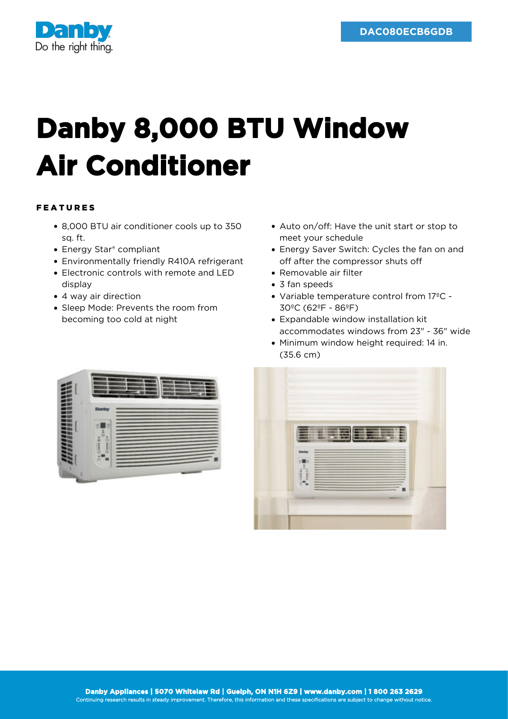

## **Danby 8,000 BTU Window Air Conditioner**

## FEATURES

- 8,000 BTU air conditioner cools up to 350 sq. ft.
- Energy Star<sup>®</sup> compliant
- Environmentally friendly R410A refrigerant
- Electronic controls with remote and LED display
- 4 way air direction
- Sleep Mode: Prevents the room from becoming too cold at night
- Auto on/off: Have the unit start or stop to meet your schedule
- Energy Saver Switch: Cycles the fan on and off after the compressor shuts off
- Removable air filter
- 3 fan speeds
- Variable temperature control from 17ºC 30ºC (62ºF - 86ºF)
- Expandable window installation kit accommodates windows from 23" - 36" wide
- Minimum window height required: 14 in. (35.6 cm)